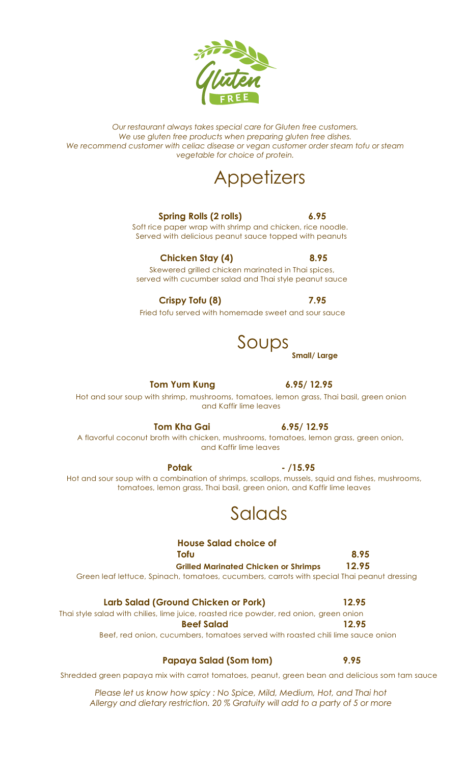*Our restaurant always takes special care for Gluten free customers. We use gluten free products when preparing gluten free dishes. We recommend customer with celiac disease or vegan customer order steam tofu or steam vegetable for choice of protein.*

## **Appetizers**

### **Spring Rolls (2 rolls) 6.95**

Soft rice paper wrap with shrimp and chicken, rice noodle. Served with delicious peanut sauce topped with peanuts

### **Chicken Stay (4) 8.95** Skewered grilled chicken marinated in Thai spices, served with cucumber salad and Thai style peanut sauce

**Crispy Tofu (8) 7.95**

Fried tofu served with homemade sweet and sour sauce

**Tom Yum Kung 6.95/ 12.95** Hot and sour soup with shrimp, mushrooms, tomatoes, lemon grass, Thai basil, green onion and Kaffir lime leaves

**Tom Kha Gai 6.95/ 12.95** A flavorful coconut broth with chicken, mushrooms, tomatoes, lemon grass, green onion, and Kaffir lime leaves

**Potak - /15.95** Hot and sour soup with a combination of shrimps, scallops, mussels, squid and fishes, mushrooms, tomatoes, lemon grass, Thai basil, green onion, and Kaffir lime leaves

## Salads

### **House Salad choice of Tofu 8.95**

 **Grilled Marinated Chicken or Shrimps 12.95** Green leaf lettuce, Spinach, tomatoes, cucumbers, carrots with special Thai peanut dressing

### **Larb Salad (Ground Chicken or Pork) 12.95**

Thai style salad with chilies, lime juice, roasted rice powder, red onion, green onion  **Beef Salad 12.95** 

Beef, red onion, cucumbers, tomatoes served with roasted chili lime sauce onion

### **Papaya Salad (Som tom) 9.95**

Shredded green papaya mix with carrot tomatoes, peanut, green bean and delicious som tam sauce

*Please let us know how spicy : No Spice, Mild, Medium, Hot, and Thai hot Allergy and dietary restriction. 20 % Gratuity will add to a party of 5 or more*

**Small/ Large**

Soups

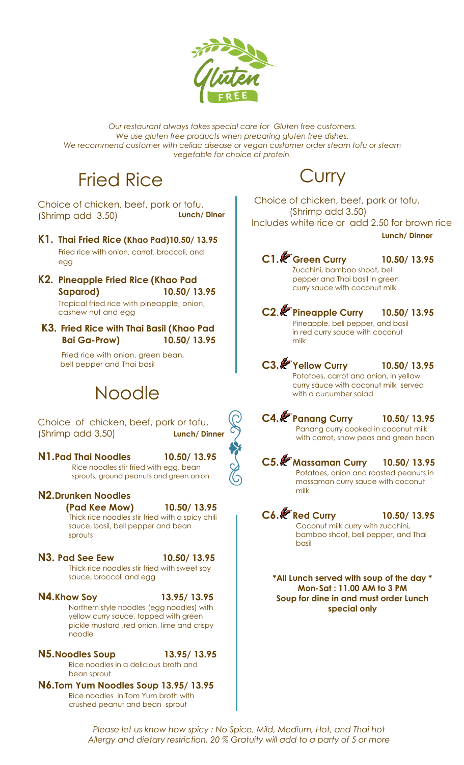

*Our restaurant always takes special care for Gluten free customers. We use gluten free products when preparing gluten free dishes. We recommend customer with celiac disease or vegan customer order steam tofu or steam vegetable for choice of protein.*

## Fried Rice

Choice of chicken, beef, pork or tofu. (Shrimp add 3.50) **Lunch/ Diner**

- **K1. Thai Fried Rice (Khao Pad)10.50/ 13.95** Fried rice with onion, carrot, broccoli, and egg
- **K2. Pineapple Fried Rice (Khao Pad Saparod) 10.50/ 13.95**

Tropical fried rice with pineapple, onion, cashew nut and egg

**K3. Fried Rice with Thai Basil (Khao Pad Bai Ga-Prow) 10.50/ 13.95**

> Fried rice with onion, green bean, bell pepper and Thai basil

# Noodle

Choice of chicken, beef, pork or tofu. (Shrimp add 3.50) **Lunch/ Dinner**

**N1.Pad Thai Noodles 10.50/ 13.95** Rice noodles stir fried with egg, bean sprouts, ground peanuts and green onion

### **N2.Drunken Noodles**

 **(Pad Kee Mow) 10.50/ 13.95** Thick rice noodles stir fried with a spicy chili sauce, basil, bell pepper and bean sprouts

### **N3. Pad See Eew 10.50/ 13.95**

Thick rice noodles stir fried with sweet soy sauce, broccoli and egg

### **N4.Khow Soy 13.95/ 13.95** Northern style noodles (egg noodles) with yellow curry sauce, topped with green pickle mustard ,red onion, lime and crispy noodle

- **N5.Noodles Soup 13.95/ 13.95** Rice noodles in a delicious broth and bean sprout
- **N6.Tom Yum Noodles Soup 13.95/ 13.95** Rice noodles in Tom Yum broth with crushed peanut and bean sprout

# Curry

Choice of chicken, beef, pork or tofu. (Shrimp add 3.50) Includes white rice or add 2.50 for brown rice **Lunch/ Dinner**

**C1. Green Curry 10.50/ 13.95** Zucchini, bamboo shoot, bell pepper and Thai basil in green curry sauce with coconut milk

**C2**. **Pineapple Curry 10.50/ 13.95** Pineapple, bell pepper, and basil in red curry sauce with coconut milk

**C3. Yellow Curry 10.50/ 13.95** Potatoes, carrot and onion, in yellow curry sauce with coconut milk served with a cucumber salad

**C4. Panang Curry 10.50/ 13.95** Panang curry cooked in coconut milk with carrot, snow peas and green bean

**C5. Massaman Curry 10.50/ 13.95** Potatoes, onion and roasted peanuts in massaman curry sauce with coconut milk

**C6. Red Curry 10.50/ 13.95** Coconut milk curry with zucchini, bamboo shoot, bell pepper, and Thai basil

**\*All Lunch served with soup of the day \* Mon-Sat : 11.00 AM to 3 PM Soup for dine in and must order Lunch special only**

Please let us know how spicy : No Spice, Mild, Medium, Hot, and Thai hot sauce and broccoli *Allergy and dietary restriction. 20 % Gratuity will add to a party of 5 or more*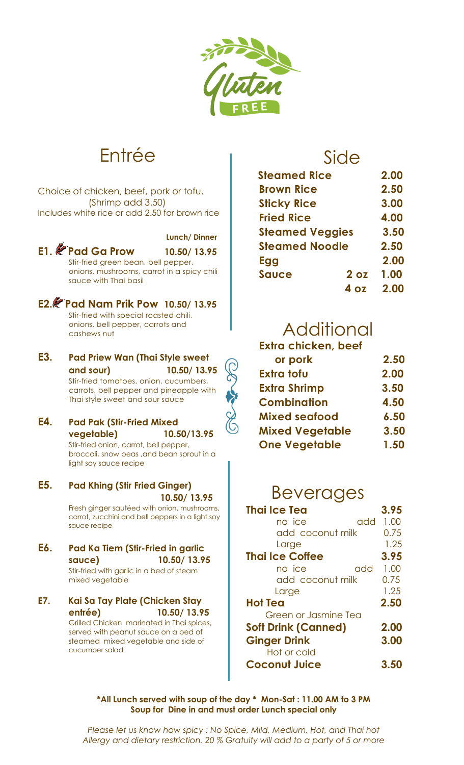

# Entrée

Choice of chicken, beef, pork or tofu. (Shrimp add 3.50) Includes white rice or add 2.50 for brown rice



onions, mushrooms, carrot in a spicy chili sauce with Thai basil

**E2. Pad Nam Prik Pow 10.50/ 13.95** Stir-fried with special roasted chili, onions, bell pepper, carrots and cashews nut

**E3. Pad Priew Wan (Thai Style sweet and sour) 10.50/ 13.95** Stir-fried tomatoes, onion, cucumbers,

carrots, bell pepper and pineapple with Thai style sweet and sour sauce

**E4. Pad Pak (Stir-Fried Mixed vegetable) 10.50/13.95**

Stir-fried onion, carrot, bell pepper, broccoli, snow peas ,and bean sprout in a light soy sauce recipe

**E5. Pad Khing (Stir Fried Ginger) 10.50/ 13.95**

Fresh ginger sautéed with onion, mushrooms, carrot, zucchini and bell peppers in a light soy sauce recipe

**E6. Pad Ka Tiem (Stir-Fried in garlic sauce) 10.50/ 13.95** Stir-fried with garlic in a bed of steam mixed vegetable

### **E7. Kai Sa Tay Plate (Chicken Stay entrée) 10.50/ 13.95**

Grilled Chicken marinated in Thai spices, served with peanut sauce on a bed of steamed mixed vegetable and side of cucumber salad

### Side

| <b>Steamed Rice</b>    |                 | 2.00 |
|------------------------|-----------------|------|
| <b>Brown Rice</b>      |                 | 2.50 |
| <b>Sticky Rice</b>     |                 | 3.00 |
| <b>Fried Rice</b>      |                 | 4.00 |
| <b>Steamed Veggies</b> |                 | 3.50 |
| <b>Steamed Noodle</b>  |                 | 2.50 |
| Egg                    |                 | 2.00 |
| <b>Sauce</b>           | 2 <sub>oz</sub> | 1.00 |
|                        | 1 דה            | 2.00 |

### i<br>Li Additional

| <b>Extra chicken, beef</b> |      |
|----------------------------|------|
| or pork                    | 2.50 |
| Extra tofu                 | 2.00 |
| <b>Extra Shrimp</b>        | 3.50 |
| <b>Combination</b>         | 4.50 |
| <b>Mixed seafood</b>       | 6.50 |
| <b>Mixed Vegetable</b>     | 3.50 |
| <b>One Vegetable</b>       | 1.50 |
|                            |      |

## Beverages

| <b>Thai Ice Tea</b>         | 3.95 |
|-----------------------------|------|
| no ice<br>add               | 1.00 |
| add coconut milk            | 0.75 |
| Large                       | 1.25 |
| <b>Thai Ice Coffee</b>      | 3.95 |
| no ice<br>add               | 1.00 |
| add coconut milk            | 0.75 |
| Large                       | 1.25 |
| <b>Hot Tea</b>              | 2.50 |
| <b>Green or Jasmine Tea</b> |      |
| <b>Soft Drink (Canned)</b>  | 2.00 |
| <b>Ginger Drink</b>         | 3.00 |
| Hot or cold                 |      |
| <b>Coconut Juice</b>        | 3.5  |

 $A \sim \Lambda$ ll Lunch sarvad with so sauce and broccoli **\*All Lunch served with soup of the day \* Mon-Sat : 11.00 AM to 3 PM Soup for Dine in and must order Lunch special only**